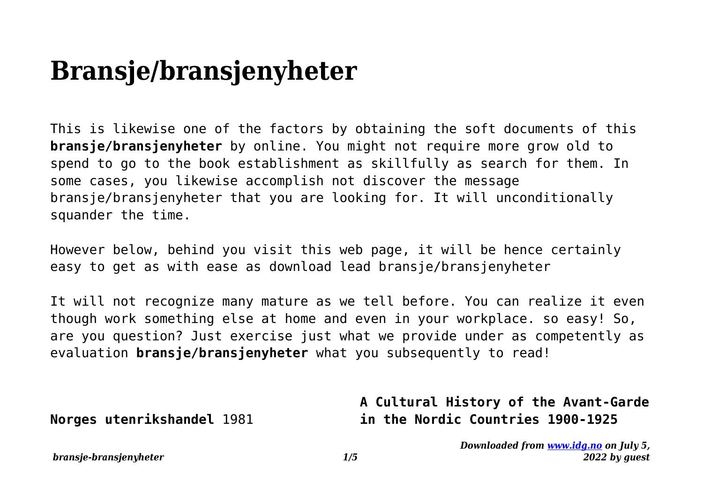## **Bransje/bransjenyheter**

This is likewise one of the factors by obtaining the soft documents of this **bransje/bransjenyheter** by online. You might not require more grow old to spend to go to the book establishment as skillfully as search for them. In some cases, you likewise accomplish not discover the message bransje/bransjenyheter that you are looking for. It will unconditionally squander the time.

However below, behind you visit this web page, it will be hence certainly easy to get as with ease as download lead bransje/bransjenyheter

It will not recognize many mature as we tell before. You can realize it even though work something else at home and even in your workplace. so easy! So, are you question? Just exercise just what we provide under as competently as evaluation **bransje/bransjenyheter** what you subsequently to read!

**Norges utenrikshandel** 1981

## **A Cultural History of the Avant-Garde in the Nordic Countries 1900-1925**

*Downloaded from [www.idg.no](http://www.idg.no) on July 5, 2022 by guest*

*bransje-bransjenyheter 1/5*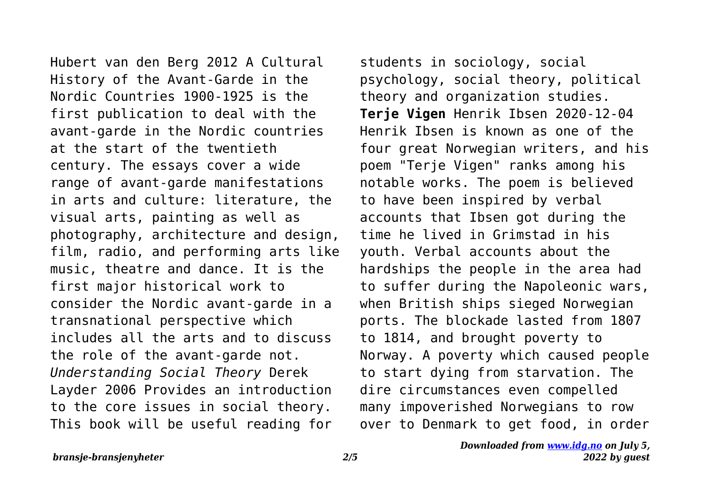Hubert van den Berg 2012 A Cultural History of the Avant-Garde in the Nordic Countries 1900-1925 is the first publication to deal with the avant-garde in the Nordic countries at the start of the twentieth century. The essays cover a wide range of avant-garde manifestations in arts and culture: literature, the visual arts, painting as well as photography, architecture and design, film, radio, and performing arts like music, theatre and dance. It is the first major historical work to consider the Nordic avant-garde in a transnational perspective which includes all the arts and to discuss the role of the avant-garde not. *Understanding Social Theory* Derek Layder 2006 Provides an introduction to the core issues in social theory. This book will be useful reading for

students in sociology, social psychology, social theory, political theory and organization studies. **Terje Vigen** Henrik Ibsen 2020-12-04 Henrik Ibsen is known as one of the four great Norwegian writers, and his poem "Terje Vigen" ranks among his notable works. The poem is believed to have been inspired by verbal accounts that Ibsen got during the time he lived in Grimstad in his youth. Verbal accounts about the hardships the people in the area had to suffer during the Napoleonic wars, when British ships sieged Norwegian ports. The blockade lasted from 1807 to 1814, and brought poverty to Norway. A poverty which caused people to start dying from starvation. The dire circumstances even compelled many impoverished Norwegians to row over to Denmark to get food, in order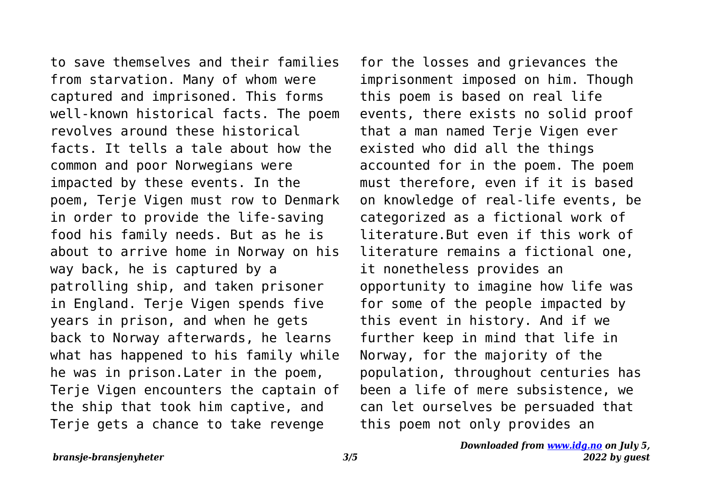to save themselves and their families from starvation. Many of whom were captured and imprisoned. This forms well-known historical facts. The poem revolves around these historical facts. It tells a tale about how the common and poor Norwegians were impacted by these events. In the poem, Terje Vigen must row to Denmark in order to provide the life-saving food his family needs. But as he is about to arrive home in Norway on his way back, he is captured by a patrolling ship, and taken prisoner in England. Terje Vigen spends five years in prison, and when he gets back to Norway afterwards, he learns what has happened to his family while he was in prison.Later in the poem, Terje Vigen encounters the captain of the ship that took him captive, and Terje gets a chance to take revenge

for the losses and grievances the imprisonment imposed on him. Though this poem is based on real life events, there exists no solid proof that a man named Terje Vigen ever existed who did all the things accounted for in the poem. The poem must therefore, even if it is based on knowledge of real-life events, be categorized as a fictional work of literature.But even if this work of literature remains a fictional one, it nonetheless provides an opportunity to imagine how life was for some of the people impacted by this event in history. And if we further keep in mind that life in Norway, for the majority of the population, throughout centuries has been a life of mere subsistence, we can let ourselves be persuaded that this poem not only provides an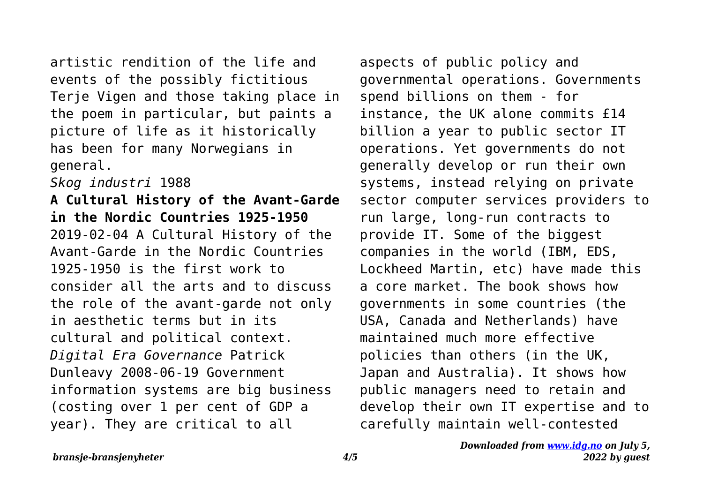artistic rendition of the life and events of the possibly fictitious Terje Vigen and those taking place in the poem in particular, but paints a picture of life as it historically has been for many Norwegians in general.

*Skog industri* 1988

**A Cultural History of the Avant-Garde in the Nordic Countries 1925-1950** 2019-02-04 A Cultural History of the Avant-Garde in the Nordic Countries 1925-1950 is the first work to consider all the arts and to discuss the role of the avant-garde not only in aesthetic terms but in its cultural and political context. *Digital Era Governance* Patrick Dunleavy 2008-06-19 Government information systems are big business (costing over 1 per cent of GDP a year). They are critical to all

aspects of public policy and governmental operations. Governments spend billions on them - for instance, the UK alone commits £14 billion a year to public sector IT operations. Yet governments do not generally develop or run their own systems, instead relying on private sector computer services providers to run large, long-run contracts to provide IT. Some of the biggest companies in the world (IBM, EDS, Lockheed Martin, etc) have made this a core market. The book shows how governments in some countries (the USA, Canada and Netherlands) have maintained much more effective policies than others (in the UK, Japan and Australia). It shows how public managers need to retain and develop their own IT expertise and to carefully maintain well-contested